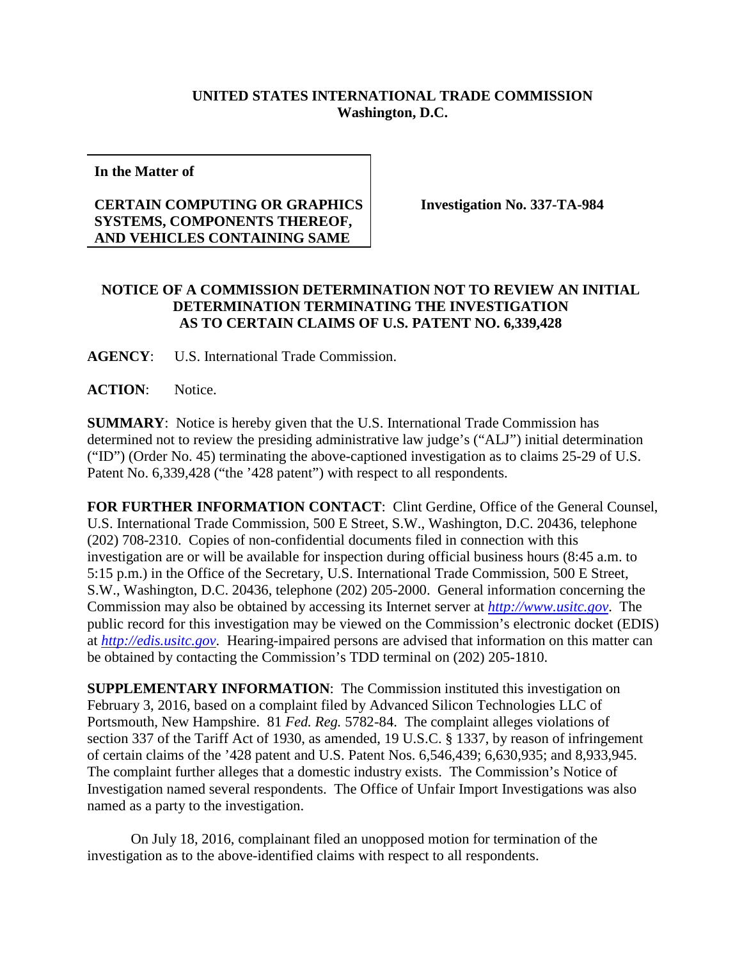## **UNITED STATES INTERNATIONAL TRADE COMMISSION Washington, D.C.**

**In the Matter of**

## **CERTAIN COMPUTING OR GRAPHICS SYSTEMS, COMPONENTS THEREOF, AND VEHICLES CONTAINING SAME**

**Investigation No. 337-TA-984**

## **NOTICE OF A COMMISSION DETERMINATION NOT TO REVIEW AN INITIAL DETERMINATION TERMINATING THE INVESTIGATION AS TO CERTAIN CLAIMS OF U.S. PATENT NO. 6,339,428**

**AGENCY**: U.S. International Trade Commission.

**ACTION**: Notice.

**SUMMARY**: Notice is hereby given that the U.S. International Trade Commission has determined not to review the presiding administrative law judge's ("ALJ") initial determination ("ID") (Order No. 45) terminating the above-captioned investigation as to claims 25-29 of U.S. Patent No. 6,339,428 ("the '428 patent") with respect to all respondents.

**FOR FURTHER INFORMATION CONTACT**: Clint Gerdine, Office of the General Counsel, U.S. International Trade Commission, 500 E Street, S.W., Washington, D.C. 20436, telephone (202) 708-2310. Copies of non-confidential documents filed in connection with this investigation are or will be available for inspection during official business hours (8:45 a.m. to 5:15 p.m.) in the Office of the Secretary, U.S. International Trade Commission, 500 E Street, S.W., Washington, D.C. 20436, telephone (202) 205-2000. General information concerning the Commission may also be obtained by accessing its Internet server at *[http://www.usitc.gov](http://www.usitc.gov/)*. The public record for this investigation may be viewed on the Commission's electronic docket (EDIS) at *[http://edis.usitc.gov](http://edis.usitc.gov/)*. Hearing-impaired persons are advised that information on this matter can be obtained by contacting the Commission's TDD terminal on (202) 205-1810.

**SUPPLEMENTARY INFORMATION**: The Commission instituted this investigation on February 3, 2016, based on a complaint filed by Advanced Silicon Technologies LLC of Portsmouth, New Hampshire. 81 *Fed. Reg.* 5782-84. The complaint alleges violations of section 337 of the Tariff Act of 1930, as amended, 19 U.S.C. § 1337, by reason of infringement of certain claims of the '428 patent and U.S. Patent Nos. 6,546,439; 6,630,935; and 8,933,945. The complaint further alleges that a domestic industry exists. The Commission's Notice of Investigation named several respondents. The Office of Unfair Import Investigations was also named as a party to the investigation.

On July 18, 2016, complainant filed an unopposed motion for termination of the investigation as to the above-identified claims with respect to all respondents.